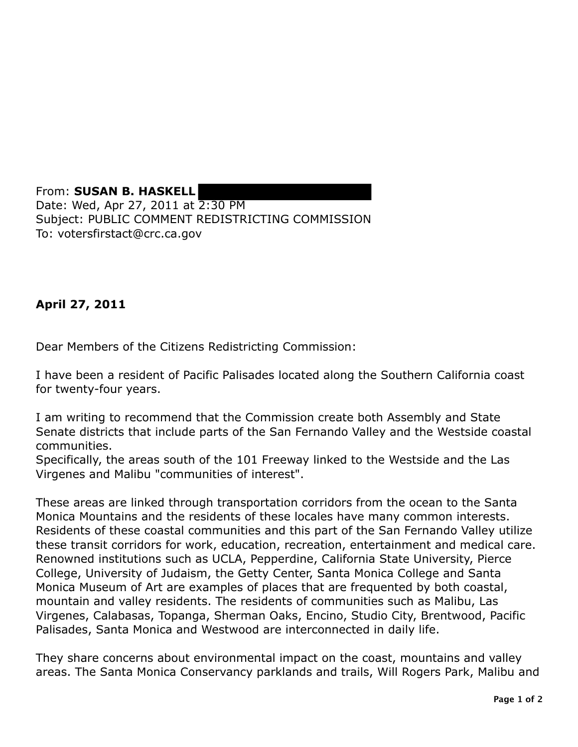From: **SUSAN B. HASKELL**  Date: Wed, Apr 27, 2011 at 2:30 PM Subject: PUBLIC COMMENT REDISTRICTING COMMISSION To: votersfirstact@crc.ca.gov

## **April 27, 2011**

Dear Members of the Citizens Redistricting Commission:

I have been a resident of Pacific Palisades located along the Southern California coast for twenty-four years.

I am writing to recommend that the Commission create both Assembly and State Senate districts that include parts of the San Fernando Valley and the Westside coastal communities.

Specifically, the areas south of the 101 Freeway linked to the Westside and the Las Virgenes and Malibu "communities of interest".

These areas are linked through transportation corridors from the ocean to the Santa Monica Mountains and the residents of these locales have many common interests. Residents of these coastal communities and this part of the San Fernando Valley utilize these transit corridors for work, education, recreation, entertainment and medical care. Renowned institutions such as UCLA, Pepperdine, California State University, Pierce College, University of Judaism, the Getty Center, Santa Monica College and Santa Monica Museum of Art are examples of places that are frequented by both coastal, mountain and valley residents. The residents of communities such as Malibu, Las Virgenes, Calabasas, Topanga, Sherman Oaks, Encino, Studio City, Brentwood, Pacific Palisades, Santa Monica and Westwood are interconnected in daily life.

They share concerns about environmental impact on the coast, mountains and valley areas. The Santa Monica Conservancy parklands and trails, Will Rogers Park, Malibu and